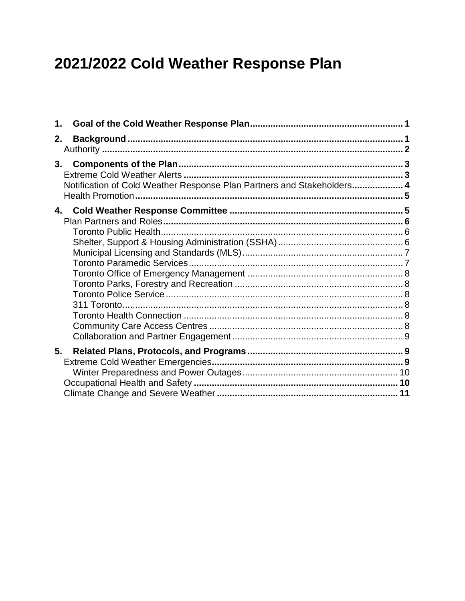# 2021/2022 Cold Weather Response Plan

| 1.                                                                           |  |
|------------------------------------------------------------------------------|--|
| 2.                                                                           |  |
| 3.<br>Notification of Cold Weather Response Plan Partners and Stakeholders 4 |  |
| 4.                                                                           |  |
| 5.                                                                           |  |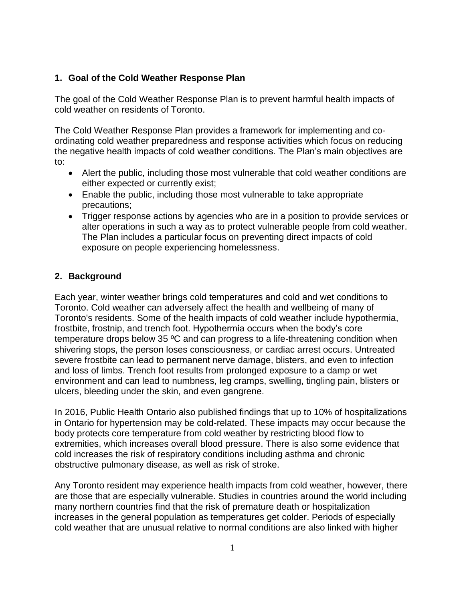# **1. Goal of the Cold Weather Response Plan**

The goal of the Cold Weather Response Plan is to prevent harmful health impacts of cold weather on residents of Toronto.

The Cold Weather Response Plan provides a framework for implementing and coordinating cold weather preparedness and response activities which focus on reducing the negative health impacts of cold weather conditions. The Plan's main objectives are to:

- Alert the public, including those most vulnerable that cold weather conditions are either expected or currently exist;
- Enable the public, including those most vulnerable to take appropriate precautions;
- Trigger response actions by agencies who are in a position to provide services or alter operations in such a way as to protect vulnerable people from cold weather. The Plan includes a particular focus on preventing direct impacts of cold exposure on people experiencing homelessness.

# **2. Background**

Each year, winter weather brings cold temperatures and cold and wet conditions to Toronto. Cold weather can adversely affect the health and wellbeing of many of Toronto's residents. Some of the health impacts of cold weather include hypothermia, frostbite, frostnip, and trench foot. Hypothermia occurs when the body's core temperature drops below 35 ºC and can progress to a life-threatening condition when shivering stops, the person loses consciousness, or cardiac arrest occurs. Untreated severe frostbite can lead to permanent nerve damage, blisters, and even to infection and loss of limbs. Trench foot results from prolonged exposure to a damp or wet environment and can lead to numbness, leg cramps, swelling, tingling pain, blisters or ulcers, bleeding under the skin, and even gangrene.

In 2016, Public Health Ontario also published findings that up to 10% of hospitalizations in Ontario for hypertension may be cold-related. These impacts may occur because the body protects core temperature from cold weather by restricting blood flow to extremities, which increases overall blood pressure. There is also some evidence that cold increases the risk of respiratory conditions including asthma and chronic obstructive pulmonary disease, as well as risk of stroke.

Any Toronto resident may experience health impacts from cold weather, however, there are those that are especially vulnerable. Studies in countries around the world including many northern countries find that the risk of premature death or hospitalization increases in the general population as temperatures get colder. Periods of especially cold weather that are unusual relative to normal conditions are also linked with higher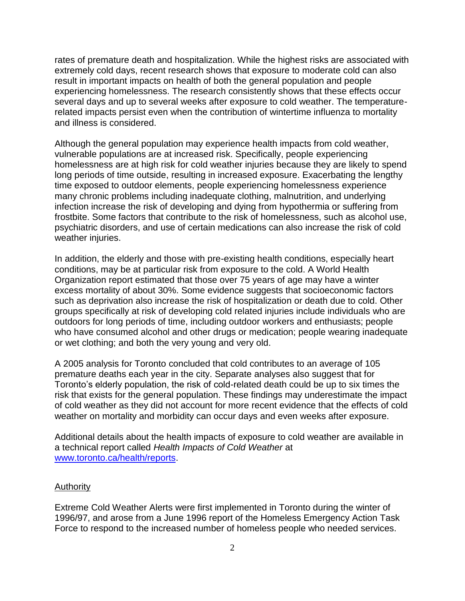rates of premature death and hospitalization. While the highest risks are associated with extremely cold days, recent research shows that exposure to moderate cold can also result in important impacts on health of both the general population and people experiencing homelessness. The research consistently shows that these effects occur several days and up to several weeks after exposure to cold weather. The temperaturerelated impacts persist even when the contribution of wintertime influenza to mortality and illness is considered.

Although the general population may experience health impacts from cold weather, vulnerable populations are at increased risk. Specifically, people experiencing homelessness are at high risk for cold weather injuries because they are likely to spend long periods of time outside, resulting in increased exposure. Exacerbating the lengthy time exposed to outdoor elements, people experiencing homelessness experience many chronic problems including inadequate clothing, malnutrition, and underlying infection increase the risk of developing and dying from hypothermia or suffering from frostbite. Some factors that contribute to the risk of homelessness, such as alcohol use, psychiatric disorders, and use of certain medications can also increase the risk of cold weather injuries.

In addition, the elderly and those with pre-existing health conditions, especially heart conditions, may be at particular risk from exposure to the cold. A World Health Organization report estimated that those over 75 years of age may have a winter excess mortality of about 30%. Some evidence suggests that socioeconomic factors such as deprivation also increase the risk of hospitalization or death due to cold. Other groups specifically at risk of developing cold related injuries include individuals who are outdoors for long periods of time, including outdoor workers and enthusiasts; people who have consumed alcohol and other drugs or medication; people wearing inadequate or wet clothing; and both the very young and very old.

A 2005 analysis for Toronto concluded that cold contributes to an average of 105 premature deaths each year in the city. Separate analyses also suggest that for Toronto's elderly population, the risk of cold-related death could be up to six times the risk that exists for the general population. These findings may underestimate the impact of cold weather as they did not account for more recent evidence that the effects of cold weather on mortality and morbidity can occur days and even weeks after exposure.

Additional details about the health impacts of exposure to cold weather are available in a technical report called *Health Impacts of Cold Weather* at [www.toronto.ca/health/reports.](http://www.toronto.ca/health/reports)

#### Authority

Extreme Cold Weather Alerts were first implemented in Toronto during the winter of 1996/97, and arose from a June 1996 report of the Homeless Emergency Action Task Force to respond to the increased number of homeless people who needed services.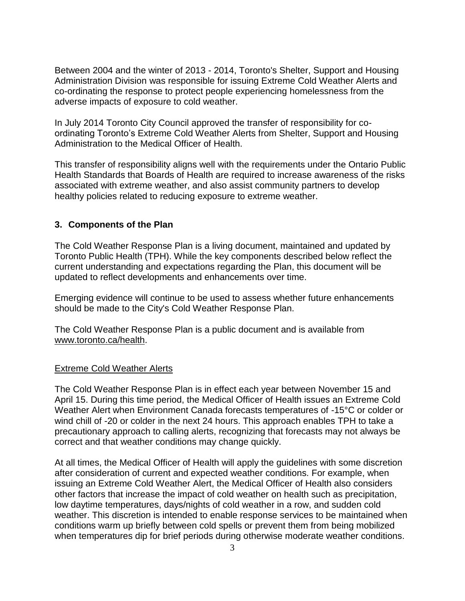Between 2004 and the winter of 2013 - 2014, Toronto's Shelter, Support and Housing Administration Division was responsible for issuing Extreme Cold Weather Alerts and co-ordinating the response to protect people experiencing homelessness from the adverse impacts of exposure to cold weather.

In July 2014 Toronto City Council approved the transfer of responsibility for coordinating Toronto's Extreme Cold Weather Alerts from Shelter, Support and Housing Administration to the Medical Officer of Health.

This transfer of responsibility aligns well with the requirements under the Ontario Public Health Standards that Boards of Health are required to increase awareness of the risks associated with extreme weather, and also assist community partners to develop healthy policies related to reducing exposure to extreme weather.

## **3. Components of the Plan**

The Cold Weather Response Plan is a living document, maintained and updated by Toronto Public Health (TPH). While the key components described below reflect the current understanding and expectations regarding the Plan, this document will be updated to reflect developments and enhancements over time.

Emerging evidence will continue to be used to assess whether future enhancements should be made to the City's Cold Weather Response Plan.

The Cold Weather Response Plan is a public document and is available from [www.toronto.ca/health.](http://www.toronto.ca/health)

## Extreme Cold Weather Alerts

The Cold Weather Response Plan is in effect each year between November 15 and April 15. During this time period, the Medical Officer of Health issues an Extreme Cold Weather Alert when Environment Canada forecasts temperatures of -15°C or colder or wind chill of -20 or colder in the next 24 hours. This approach enables TPH to take a precautionary approach to calling alerts, recognizing that forecasts may not always be correct and that weather conditions may change quickly.

At all times, the Medical Officer of Health will apply the guidelines with some discretion after consideration of current and expected weather conditions. For example, when issuing an Extreme Cold Weather Alert, the Medical Officer of Health also considers other factors that increase the impact of cold weather on health such as precipitation, low daytime temperatures, days/nights of cold weather in a row, and sudden cold weather. This discretion is intended to enable response services to be maintained when conditions warm up briefly between cold spells or prevent them from being mobilized when temperatures dip for brief periods during otherwise moderate weather conditions.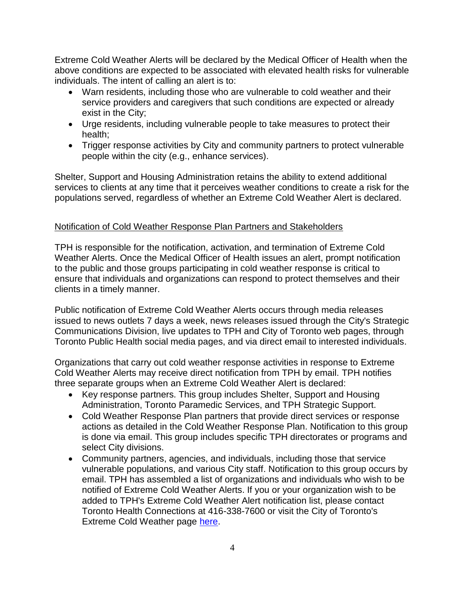Extreme Cold Weather Alerts will be declared by the Medical Officer of Health when the above conditions are expected to be associated with elevated health risks for vulnerable individuals. The intent of calling an alert is to:

- Warn residents, including those who are vulnerable to cold weather and their service providers and caregivers that such conditions are expected or already exist in the City;
- Urge residents, including vulnerable people to take measures to protect their health;
- Trigger response activities by City and community partners to protect vulnerable people within the city (e.g., enhance services).

Shelter, Support and Housing Administration retains the ability to extend additional services to clients at any time that it perceives weather conditions to create a risk for the populations served, regardless of whether an Extreme Cold Weather Alert is declared.

# Notification of Cold Weather Response Plan Partners and Stakeholders

TPH is responsible for the notification, activation, and termination of Extreme Cold Weather Alerts. Once the Medical Officer of Health issues an alert, prompt notification to the public and those groups participating in cold weather response is critical to ensure that individuals and organizations can respond to protect themselves and their clients in a timely manner.

Public notification of Extreme Cold Weather Alerts occurs through media releases issued to news outlets 7 days a week, news releases issued through the City's Strategic Communications Division, live updates to TPH and City of Toronto web pages, through Toronto Public Health social media pages, and via direct email to interested individuals.

Organizations that carry out cold weather response activities in response to Extreme Cold Weather Alerts may receive direct notification from TPH by email. TPH notifies three separate groups when an Extreme Cold Weather Alert is declared:

- Key response partners. This group includes Shelter, Support and Housing Administration, Toronto Paramedic Services, and TPH Strategic Support.
- Cold Weather Response Plan partners that provide direct services or response actions as detailed in the Cold Weather Response Plan. Notification to this group is done via email. This group includes specific TPH directorates or programs and select City divisions.
- Community partners, agencies, and individuals, including those that service vulnerable populations, and various City staff. Notification to this group occurs by email. TPH has assembled a list of organizations and individuals who wish to be notified of Extreme Cold Weather Alerts. If you or your organization wish to be added to TPH's Extreme Cold Weather Alert notification list, please contact Toronto Health Connections at 416-338-7600 or visit the City of Toronto's Extreme Cold Weather page [here.](https://www.toronto.ca/community-people/health-wellness-care/health-programs-advice/extreme-cold-weather/)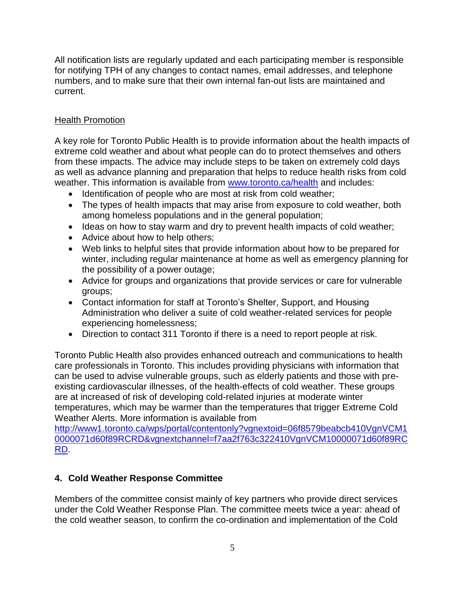All notification lists are regularly updated and each participating member is responsible for notifying TPH of any changes to contact names, email addresses, and telephone numbers, and to make sure that their own internal fan-out lists are maintained and current.

## Health Promotion

A key role for Toronto Public Health is to provide information about the health impacts of extreme cold weather and about what people can do to protect themselves and others from these impacts. The advice may include steps to be taken on extremely cold days as well as advance planning and preparation that helps to reduce health risks from cold weather. This information is available from [www.toronto.ca/health](http://www.toronto.ca/health) and includes:

- Identification of people who are most at risk from cold weather;
- The types of health impacts that may arise from exposure to cold weather, both among homeless populations and in the general population;
- Ideas on how to stay warm and dry to prevent health impacts of cold weather;
- Advice about how to help others;
- Web links to helpful sites that provide information about how to be prepared for winter, including regular maintenance at home as well as emergency planning for the possibility of a power outage;
- Advice for groups and organizations that provide services or care for vulnerable groups;
- Contact information for staff at Toronto's Shelter, Support, and Housing Administration who deliver a suite of cold weather-related services for people experiencing homelessness;
- Direction to contact 311 Toronto if there is a need to report people at risk.

Toronto Public Health also provides enhanced outreach and communications to health care professionals in Toronto. This includes providing physicians with information that can be used to advise vulnerable groups, such as elderly patients and those with preexisting cardiovascular illnesses, of the health-effects of cold weather. These groups are at increased of risk of developing cold-related injuries at moderate winter temperatures, which may be warmer than the temperatures that trigger Extreme Cold Weather Alerts. More information is available from

[http://www1.toronto.ca/wps/portal/contentonly?vgnextoid=06f8579beabcb410VgnVCM1](http://www1.toronto.ca/wps/portal/contentonly?vgnextoid=06f8579beabcb410VgnVCM10000071d60f89RCRD&vgnextchannel=f7aa2f763c322410VgnVCM10000071d60f89RCRD) [0000071d60f89RCRD&vgnextchannel=f7aa2f763c322410VgnVCM10000071d60f89RC](http://www1.toronto.ca/wps/portal/contentonly?vgnextoid=06f8579beabcb410VgnVCM10000071d60f89RCRD&vgnextchannel=f7aa2f763c322410VgnVCM10000071d60f89RCRD) [RD.](http://www1.toronto.ca/wps/portal/contentonly?vgnextoid=06f8579beabcb410VgnVCM10000071d60f89RCRD&vgnextchannel=f7aa2f763c322410VgnVCM10000071d60f89RCRD)

# **4. Cold Weather Response Committee**

Members of the committee consist mainly of key partners who provide direct services under the Cold Weather Response Plan. The committee meets twice a year: ahead of the cold weather season, to confirm the co-ordination and implementation of the Cold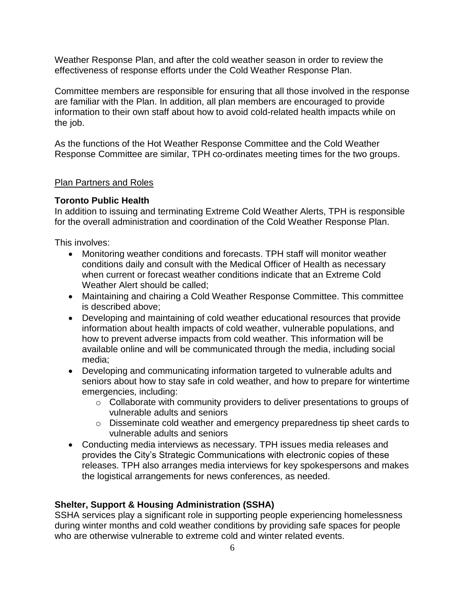Weather Response Plan, and after the cold weather season in order to review the effectiveness of response efforts under the Cold Weather Response Plan.

Committee members are responsible for ensuring that all those involved in the response are familiar with the Plan. In addition, all plan members are encouraged to provide information to their own staff about how to avoid cold-related health impacts while on the job.

As the functions of the Hot Weather Response Committee and the Cold Weather Response Committee are similar, TPH co-ordinates meeting times for the two groups.

## Plan Partners and Roles

## **Toronto Public Health**

In addition to issuing and terminating Extreme Cold Weather Alerts, TPH is responsible for the overall administration and coordination of the Cold Weather Response Plan.

This involves:

- Monitoring weather conditions and forecasts. TPH staff will monitor weather conditions daily and consult with the Medical Officer of Health as necessary when current or forecast weather conditions indicate that an Extreme Cold Weather Alert should be called:
- Maintaining and chairing a Cold Weather Response Committee. This committee is described above;
- Developing and maintaining of cold weather educational resources that provide information about health impacts of cold weather, vulnerable populations, and how to prevent adverse impacts from cold weather. This information will be available online and will be communicated through the media, including social media;
- Developing and communicating information targeted to vulnerable adults and seniors about how to stay safe in cold weather, and how to prepare for wintertime emergencies, including:
	- o Collaborate with community providers to deliver presentations to groups of vulnerable adults and seniors
	- o Disseminate cold weather and emergency preparedness tip sheet cards to vulnerable adults and seniors
- Conducting media interviews as necessary. TPH issues media releases and provides the City's Strategic Communications with electronic copies of these releases. TPH also arranges media interviews for key spokespersons and makes the logistical arrangements for news conferences, as needed.

## **Shelter, Support & Housing Administration (SSHA)**

SSHA services play a significant role in supporting people experiencing homelessness during winter months and cold weather conditions by providing safe spaces for people who are otherwise vulnerable to extreme cold and winter related events.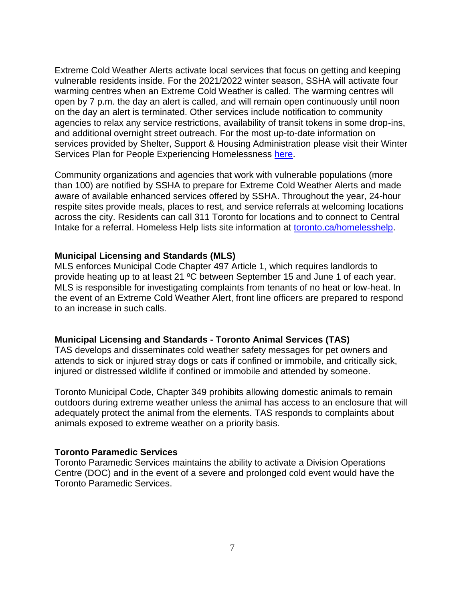Extreme Cold Weather Alerts activate local services that focus on getting and keeping vulnerable residents inside. For the 2021/2022 winter season, SSHA will activate four warming centres when an Extreme Cold Weather is called. The warming centres will open by 7 p.m. the day an alert is called, and will remain open continuously until noon on the day an alert is terminated. Other services include notification to community agencies to relax any service restrictions, availability of transit tokens in some drop-ins, and additional overnight street outreach. For the most up-to-date information on services provided by Shelter, Support & Housing Administration please visit their Winter Services Plan for People Experiencing Homelessness [here.](https://www.toronto.ca/community-people/housing-shelter/homeless-help/winter-services-plan-for-people-experiencing-homelessness/)

Community organizations and agencies that work with vulnerable populations (more than 100) are notified by SSHA to prepare for Extreme Cold Weather Alerts and made aware of available enhanced services offered by SSHA. Throughout the year, 24-hour respite sites provide meals, places to rest, and service referrals at welcoming locations across the city. Residents can call 311 Toronto for locations and to connect to Central Intake for a referral. Homeless Help lists site information at [toronto.ca/homelesshelp.](http://www.toronto.ca/homelesshelp)

#### **Municipal Licensing and Standards (MLS)**

MLS enforces Municipal Code Chapter 497 Article 1, which requires landlords to provide heating up to at least 21 ºC between September 15 and June 1 of each year. MLS is responsible for investigating complaints from tenants of no heat or low-heat. In the event of an Extreme Cold Weather Alert, front line officers are prepared to respond to an increase in such calls.

#### **Municipal Licensing and Standards - Toronto Animal Services (TAS)**

TAS develops and disseminates cold weather safety messages for pet owners and attends to sick or injured stray dogs or cats if confined or immobile, and critically sick, injured or distressed wildlife if confined or immobile and attended by someone.

Toronto Municipal Code, Chapter 349 prohibits allowing domestic animals to remain outdoors during extreme weather unless the animal has access to an enclosure that will adequately protect the animal from the elements. TAS responds to complaints about animals exposed to extreme weather on a priority basis.

### **Toronto Paramedic Services**

Toronto Paramedic Services maintains the ability to activate a Division Operations Centre (DOC) and in the event of a severe and prolonged cold event would have the Toronto Paramedic Services.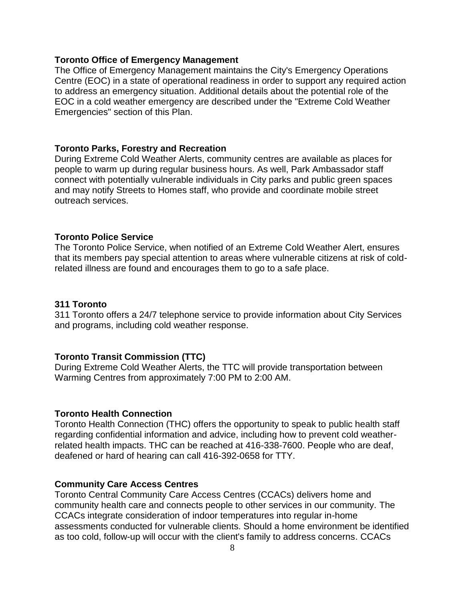#### **Toronto Office of Emergency Management**

The Office of Emergency Management maintains the City's Emergency Operations Centre (EOC) in a state of operational readiness in order to support any required action to address an emergency situation. Additional details about the potential role of the EOC in a cold weather emergency are described under the "Extreme Cold Weather Emergencies" section of this Plan.

#### **Toronto Parks, Forestry and Recreation**

During Extreme Cold Weather Alerts, community centres are available as places for people to warm up during regular business hours. As well, Park Ambassador staff connect with potentially vulnerable individuals in City parks and public green spaces and may notify Streets to Homes staff, who provide and coordinate mobile street outreach services.

#### **Toronto Police Service**

The Toronto Police Service, when notified of an Extreme Cold Weather Alert, ensures that its members pay special attention to areas where vulnerable citizens at risk of coldrelated illness are found and encourages them to go to a safe place.

#### **311 Toronto**

311 Toronto offers a 24/7 telephone service to provide information about City Services and programs, including cold weather response.

#### **Toronto Transit Commission (TTC)**

During Extreme Cold Weather Alerts, the TTC will provide transportation between Warming Centres from approximately 7:00 PM to 2:00 AM.

#### **Toronto Health Connection**

Toronto Health Connection (THC) offers the opportunity to speak to public health staff regarding confidential information and advice, including how to prevent cold weatherrelated health impacts. THC can be reached at 416-338-7600. People who are deaf, deafened or hard of hearing can call 416-392-0658 for TTY.

#### **Community Care Access Centres**

Toronto Central Community Care Access Centres (CCACs) delivers home and community health care and connects people to other services in our community. The CCACs integrate consideration of indoor temperatures into regular in-home assessments conducted for vulnerable clients. Should a home environment be identified as too cold, follow-up will occur with the client's family to address concerns. CCACs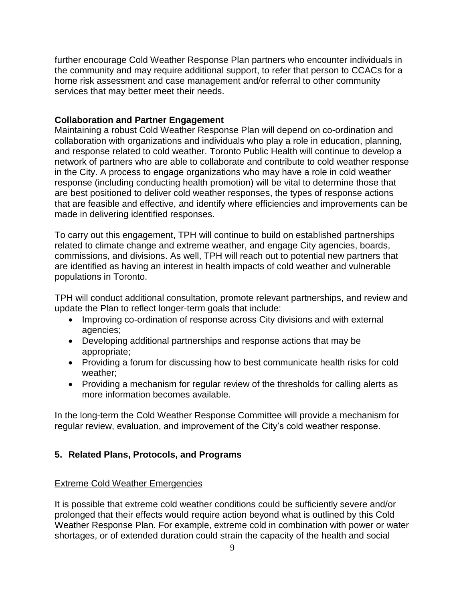further encourage Cold Weather Response Plan partners who encounter individuals in the community and may require additional support, to refer that person to CCACs for a home risk assessment and case management and/or referral to other community services that may better meet their needs.

## **Collaboration and Partner Engagement**

Maintaining a robust Cold Weather Response Plan will depend on co-ordination and collaboration with organizations and individuals who play a role in education, planning, and response related to cold weather. Toronto Public Health will continue to develop a network of partners who are able to collaborate and contribute to cold weather response in the City. A process to engage organizations who may have a role in cold weather response (including conducting health promotion) will be vital to determine those that are best positioned to deliver cold weather responses, the types of response actions that are feasible and effective, and identify where efficiencies and improvements can be made in delivering identified responses.

To carry out this engagement, TPH will continue to build on established partnerships related to climate change and extreme weather, and engage City agencies, boards, commissions, and divisions. As well, TPH will reach out to potential new partners that are identified as having an interest in health impacts of cold weather and vulnerable populations in Toronto.

TPH will conduct additional consultation, promote relevant partnerships, and review and update the Plan to reflect longer-term goals that include:

- Improving co-ordination of response across City divisions and with external agencies;
- Developing additional partnerships and response actions that may be appropriate;
- Providing a forum for discussing how to best communicate health risks for cold weather;
- Providing a mechanism for regular review of the thresholds for calling alerts as more information becomes available.

In the long-term the Cold Weather Response Committee will provide a mechanism for regular review, evaluation, and improvement of the City's cold weather response.

## **5. Related Plans, Protocols, and Programs**

## Extreme Cold Weather Emergencies

It is possible that extreme cold weather conditions could be sufficiently severe and/or prolonged that their effects would require action beyond what is outlined by this Cold Weather Response Plan. For example, extreme cold in combination with power or water shortages, or of extended duration could strain the capacity of the health and social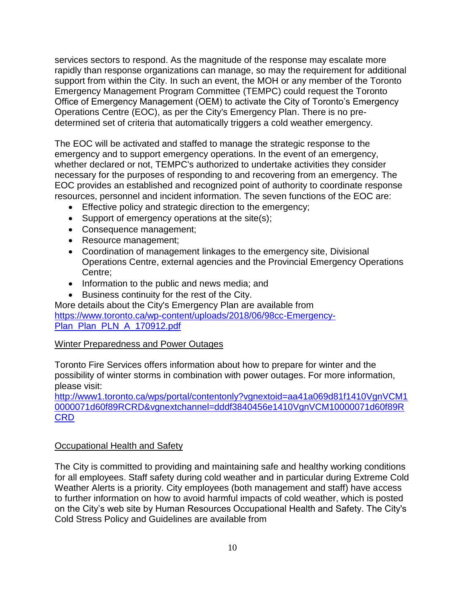services sectors to respond. As the magnitude of the response may escalate more rapidly than response organizations can manage, so may the requirement for additional support from within the City. In such an event, the MOH or any member of the Toronto Emergency Management Program Committee (TEMPC) could request the Toronto Office of Emergency Management (OEM) to activate the City of Toronto's Emergency Operations Centre (EOC), as per the City's Emergency Plan. There is no predetermined set of criteria that automatically triggers a cold weather emergency.

The EOC will be activated and staffed to manage the strategic response to the emergency and to support emergency operations. In the event of an emergency, whether declared or not, TEMPC's authorized to undertake activities they consider necessary for the purposes of responding to and recovering from an emergency. The EOC provides an established and recognized point of authority to coordinate response resources, personnel and incident information. The seven functions of the EOC are:

- **Effective policy and strategic direction to the emergency;**
- Support of emergency operations at the site(s);
- Consequence management;
- Resource management;
- Coordination of management linkages to the emergency site, Divisional Operations Centre, external agencies and the Provincial Emergency Operations Centre;
- Information to the public and news media; and
- Business continuity for the rest of the City.

More details about the City's Emergency Plan are available from https://www.toronto.ca/wp-content/uploads/2018/06/98cc-Emergency-Plan\_Plan\_PLN\_A\_170912.pdf

## Winter Preparedness and Power Outages

Toronto Fire Services offers information about how to prepare for winter and the possibility of winter storms in combination with power outages. For more information, please visit:

[http://www1.toronto.ca/wps/portal/contentonly?vgnextoid=aa41a069d81f1410VgnVCM1](http://www1.toronto.ca/wps/portal/contentonly?vgnextoid=aa41a069d81f1410VgnVCM10000071d60f89RCRD&vgnextchannel=dddf3840456e1410VgnVCM10000071d60f89RCRD) [0000071d60f89RCRD&vgnextchannel=dddf3840456e1410VgnVCM10000071d60f89R](http://www1.toronto.ca/wps/portal/contentonly?vgnextoid=aa41a069d81f1410VgnVCM10000071d60f89RCRD&vgnextchannel=dddf3840456e1410VgnVCM10000071d60f89RCRD) **[CRD](http://www1.toronto.ca/wps/portal/contentonly?vgnextoid=aa41a069d81f1410VgnVCM10000071d60f89RCRD&vgnextchannel=dddf3840456e1410VgnVCM10000071d60f89RCRD)** 

## **Occupational Health and Safety**

The City is committed to providing and maintaining safe and healthy working conditions for all employees. Staff safety during cold weather and in particular during Extreme Cold Weather Alerts is a priority. City employees (both management and staff) have access to further information on how to avoid harmful impacts of cold weather, which is posted on the City's web site by Human Resources Occupational Health and Safety. The City's Cold Stress Policy and Guidelines are available from